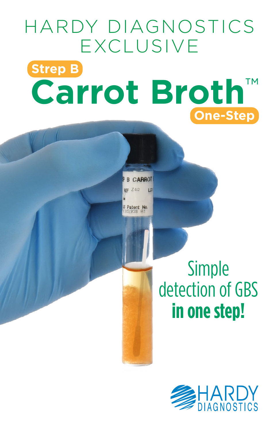# HARDY DIAGNOSTICS EXCLUSIVE **Strep B Carrot Broth**™ **One-Step**

CARROT  $Z40$ 

Patent No

LOT

Simple detection of GBS **in one step!**

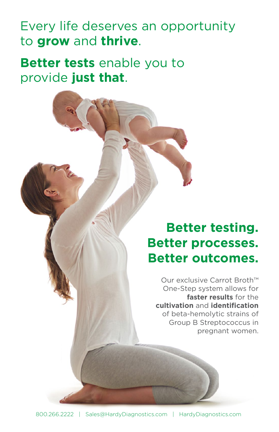### Every life deserves an opportunity to **grow** and **thrive**.

**Better tests** enable you to provide **just that**.

## **Better testing. Better processes. Better outcomes.**

Our exclusive Carrot Broth™ One-Step system allows for **faster results** for the **cultivation** and **identification** of beta-hemolytic strains of Group B Streptococcus in pregnant women.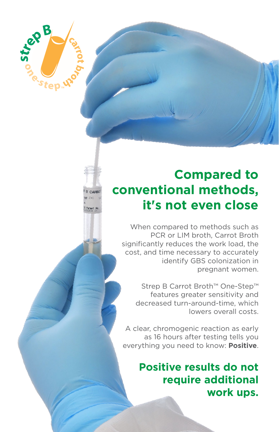### **Compared to conventional methods, it's not even close**

Strep B

'Step<sup>"</sup>

When compared to methods such as PCR or LIM broth, Carrot Broth significantly reduces the work load, the cost, and time necessary to accurately identify GBS colonization in pregnant women.

Strep B Carrot Broth™ One-Step™ features greater sensitivity and decreased turn-around-time, which lowers overall costs.

A clear, chromogenic reaction as early as 16 hours after testing tells you everything you need to know: **Positive**.

#### **Positive results do not require additional work ups.**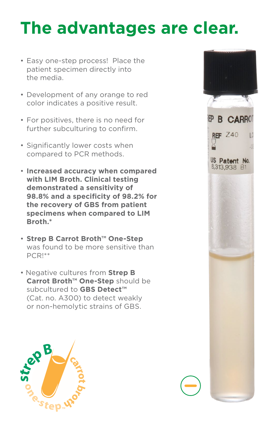## **The advantages are clear.**

- Easy one-step process! Place the patient specimen directly into the media.
- Development of any orange to red color indicates a positive result.
- For positives, there is no need for further subculturing to confirm.
- Significantly lower costs when compared to PCR methods.
- **Increased accuracy when compared with LIM Broth. Clinical testing demonstrated a sensitivity of 98.8% and a specificity of 98.2% for the recovery of GBS from patient specimens when compared to LIM Broth.\***
- **Strep B Carrot Broth™ One-Step** was found to be more sensitive than PCR!\*\*
- Negative cultures from **Strep B Carrot Broth™ One-Step** should be subcultured to **GBS Detect™** (Cat. no. A300) to detect weakly or non-hemolytic strains of GBS.



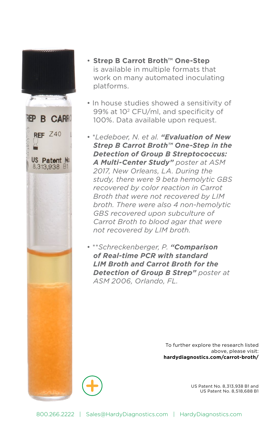

- **Strep B Carrot Broth™ One-Step** is available in multiple formats that work on many automated inoculating platforms.
- In house studies showed a sensitivity of 99% at 102 CFU/ml, and specificity of 100%. Data available upon request.
- \**Ledeboer, N. et al. "Evaluation of New Strep B Carrot Broth™ One-Step in the Detection of Group B Streptococcus: A Multi-Center Study" poster at ASM 2017, New Orleans, LA. During the study, there were 9 beta hemolytic GBS recovered by color reaction in Carrot Broth that were not recovered by LIM broth. There were also 4 non-hemolytic GBS recovered upon subculture of Carrot Broth to blood agar that were not recovered by LIM broth.*
- \*\**Schreckenberger, P. "Comparison of Real-time PCR with standard LIM Broth and Carrot Broth for the Detection of Group B Strep" poster at ASM 2006, Orlando, FL.*

To further explore the research listed above, please visit: **hardydiagnostics.com/carrot-broth/**



US Patent No. 8,313,938 B1 and US Patent No. 8,518,688 B1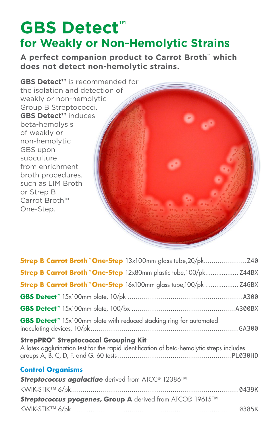## **GBS Detect™ for Weakly or Non-Hemolytic Strains**

**A perfect companion product to Carrot Broth™ which does not detect non-hemolytic strains.**



| <b>Strep B Carrot Broth<sup>™</sup> One-Step</b> 12x80mm plastic tube,100/pk Z44BX                                                                  |  |
|-----------------------------------------------------------------------------------------------------------------------------------------------------|--|
| <b>Strep B Carrot Broth™ One-Step</b> 16x100mm glass tube,100/pk  Z46BX                                                                             |  |
|                                                                                                                                                     |  |
|                                                                                                                                                     |  |
| GBS Detect <sup>™</sup> 15x100mm plate with reduced stacking ring for automated                                                                     |  |
| <b>StrepPRO<sup>™</sup> Streptococcal Grouping Kit</b><br>A latex agglutination test for the rapid identification of beta-hemolytic streps includes |  |
| <b>Control Organisms</b>                                                                                                                            |  |
| Streptococcus agalactiae derived from ATCC® 12386™                                                                                                  |  |
|                                                                                                                                                     |  |
| Streptococcus pyogenes, Group A derived from ATCC® 19615™                                                                                           |  |
|                                                                                                                                                     |  |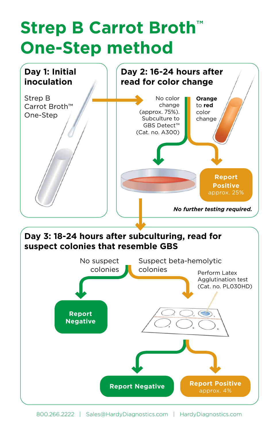## **Strep B Carrot Broth™ One-Step method**



800.266.2222 | Sales@HardyDiagnostics.com | HardyDiagnostics.com